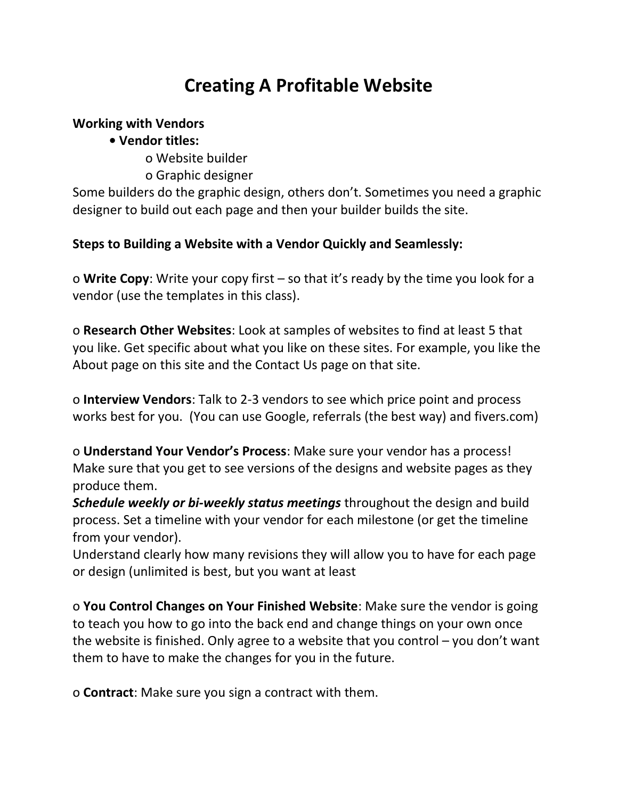# **Creating A Profitable Website**

## **Working with Vendors**

## **• Vendor titles:**

- o Website builder
- o Graphic designer

Some builders do the graphic design, others don't. Sometimes you need a graphic designer to build out each page and then your builder builds the site.

## **Steps to Building a Website with a Vendor Quickly and Seamlessly:**

o **Write Copy**: Write your copy first – so that it's ready by the time you look for a vendor (use the templates in this class).

o **Research Other Websites**: Look at samples of websites to find at least 5 that you like. Get specific about what you like on these sites. For example, you like the About page on this site and the Contact Us page on that site.

o **Interview Vendors**: Talk to 2-3 vendors to see which price point and process works best for you. (You can use Google, referrals (the best way) and fivers.com)

o **Understand Your Vendor's Process**: Make sure your vendor has a process! Make sure that you get to see versions of the designs and website pages as they produce them.

*Schedule weekly or bi-weekly status meetings* throughout the design and build process. Set a timeline with your vendor for each milestone (or get the timeline from your vendor).

Understand clearly how many revisions they will allow you to have for each page or design (unlimited is best, but you want at least

o **You Control Changes on Your Finished Website**: Make sure the vendor is going to teach you how to go into the back end and change things on your own once the website is finished. Only agree to a website that you control  $-$  you don't want them to have to make the changes for you in the future.

o **Contract**: Make sure you sign a contract with them.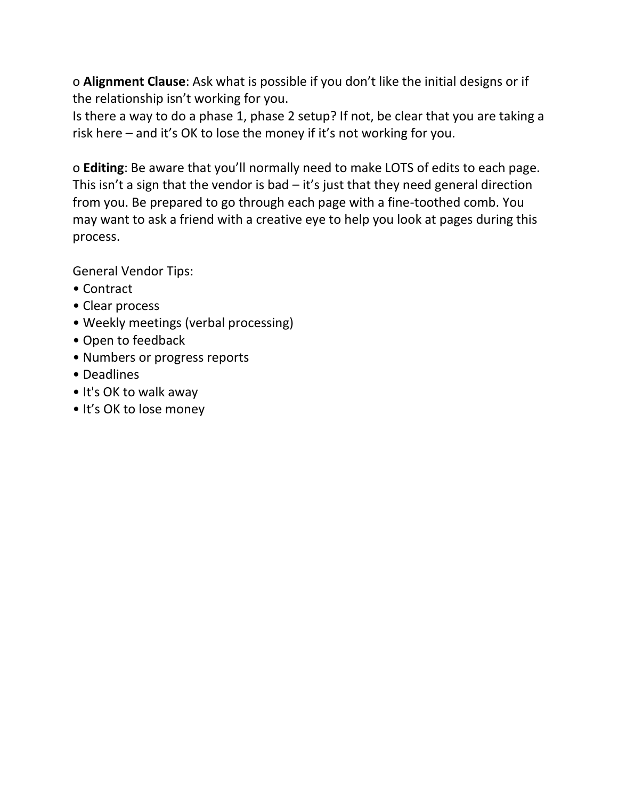o **Alignment Clause**: Ask what is possible if you don't like the initial designs or if the relationship isn't working for you.

Is there a way to do a phase 1, phase 2 setup? If not, be clear that you are taking a risk here – and it's OK to lose the money if it's not working for you.

o **Editing**: Be aware that you'll normally need to make LOTS of edits to each page. This isn't a sign that the vendor is bad  $-$  it's just that they need general direction from you. Be prepared to go through each page with a fine-toothed comb. You may want to ask a friend with a creative eye to help you look at pages during this process.

General Vendor Tips:

- Contract
- Clear process
- Weekly meetings (verbal processing)
- Open to feedback
- Numbers or progress reports
- Deadlines
- It's OK to walk away
- It's OK to lose money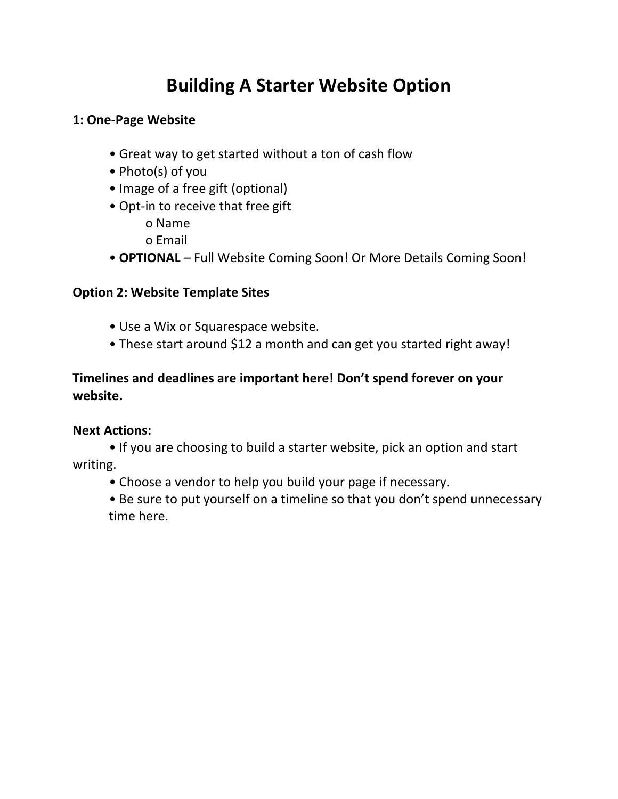# **Building A Starter Website Option**

## **1: One-Page Website**

- Great way to get started without a ton of cash flow
- Photo(s) of you
- Image of a free gift (optional)
- Opt-in to receive that free gift o Name
	- o Email
- **OPTIONAL** Full Website Coming Soon! Or More Details Coming Soon!

## **Option 2: Website Template Sites**

- Use a Wix or Squarespace website.
- These start around \$12 a month and can get you started right away!

## **Timelines and deadlines are important here! Don't spend forever on your website.**

## **Next Actions:**

• If you are choosing to build a starter website, pick an option and start writing.

• Choose a vendor to help you build your page if necessary.

• Be sure to put yourself on a timeline so that you don't spend unnecessary time here.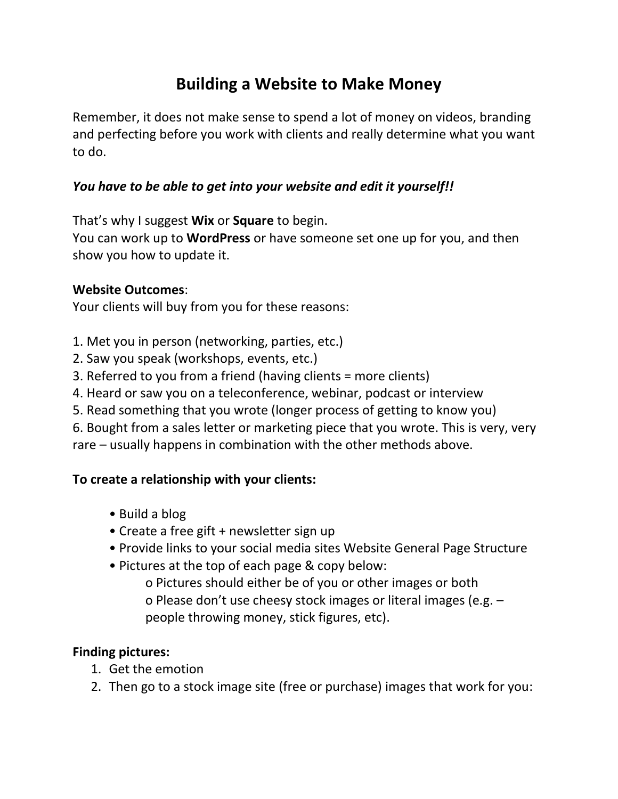## **Building a Website to Make Money**

Remember, it does not make sense to spend a lot of money on videos, branding and perfecting before you work with clients and really determine what you want to do.

## *You have to be able to get into your website and edit it yourself!!*

That's why I suggest **Wix** or **Square** to begin.

You can work up to **WordPress** or have someone set one up for you, and then show you how to update it.

### **Website Outcomes**:

Your clients will buy from you for these reasons:

- 1. Met you in person (networking, parties, etc.)
- 2. Saw you speak (workshops, events, etc.)
- 3. Referred to you from a friend (having clients = more clients)
- 4. Heard or saw you on a teleconference, webinar, podcast or interview
- 5. Read something that you wrote (longer process of getting to know you)
- 6. Bought from a sales letter or marketing piece that you wrote. This is very, very

rare – usually happens in combination with the other methods above.

### **To create a relationship with your clients:**

- Build a blog
- Create a free gift + newsletter sign up
- Provide links to your social media sites Website General Page Structure
- Pictures at the top of each page & copy below:

o Pictures should either be of you or other images or both o Please don't use cheesy stock images or literal images (e.g. – people throwing money, stick figures, etc).

### **Finding pictures:**

- 1. Get the emotion
- 2. Then go to a stock image site (free or purchase) images that work for you: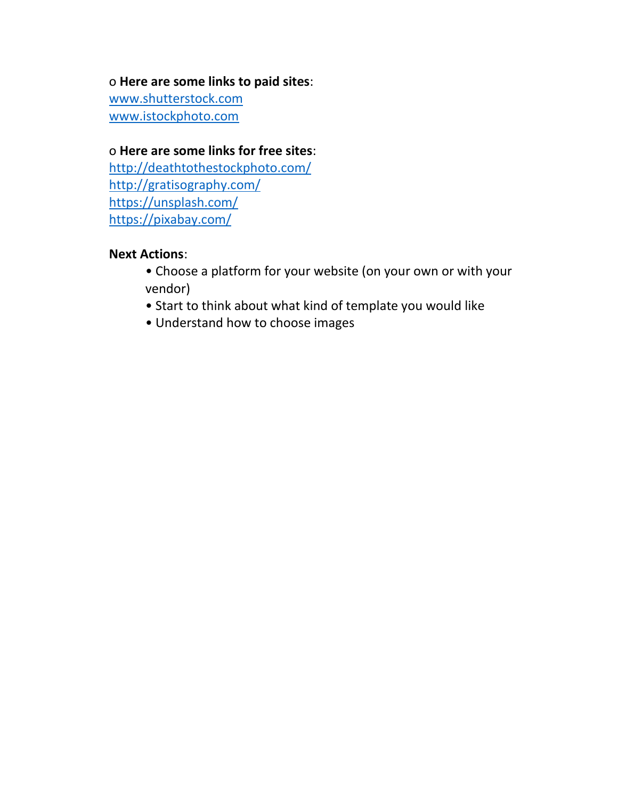#### o **Here are some links to paid sites**:

[www.shutterstock.com](http://www.shutterstock.com/) [www.istockphoto.com](http://www.istockphoto.com/)

#### o **Here are some links for free sites**:

<http://deathtothestockphoto.com/> <http://gratisography.com/> <https://unsplash.com/> <https://pixabay.com/>

#### **Next Actions**:

- Choose a platform for your website (on your own or with your vendor)
- Start to think about what kind of template you would like
- Understand how to choose images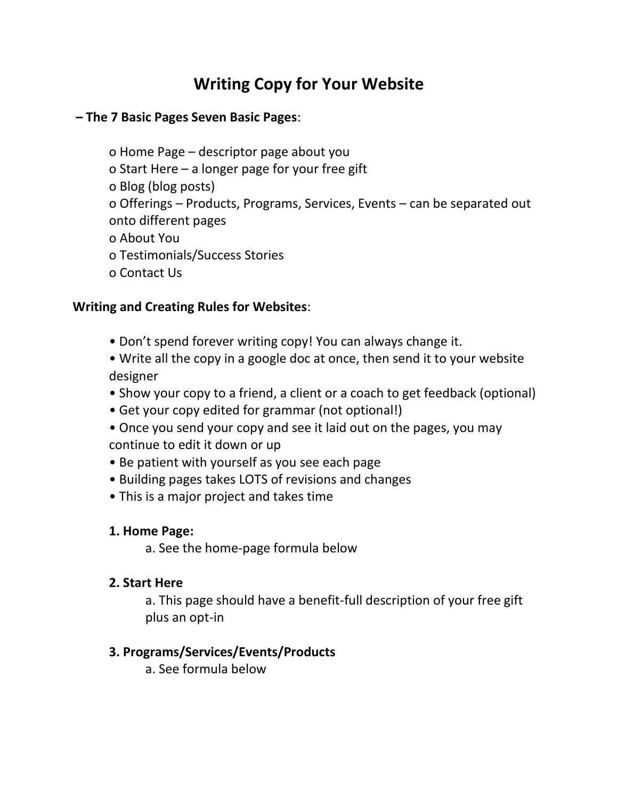## **Writing Copy for Your Website**

#### **– The 7 Basic Pages Seven Basic Pages**:

- o Home Page descriptor page about you
- o Start Here a longer page for your free gift
- o Blog (blog posts)
- o Offerings Products, Programs, Services, Events can be separated out onto different pages
- o About You
- o Testimonials/Success Stories
- o Contact Us

## **Writing and Creating Rules for Websites**:

- Don't spend forever writing copy! You can always change it.
- Write all the copy in a google doc at once, then send it to your website designer
- Show your copy to a friend, a client or a coach to get feedback (optional)
- Get your copy edited for grammar (not optional!)
- Once you send your copy and see it laid out on the pages, you may continue to edit it down or up
- Be patient with yourself as you see each page
- Building pages takes LOTS of revisions and changes
- This is a major project and takes time

### **1. Home Page:**

a. See the home-page formula below

### **2. Start Here**

a. This page should have a benefit-full description of your free gift plus an opt-in

## **3. Programs/Services/Events/Products**

a. See formula below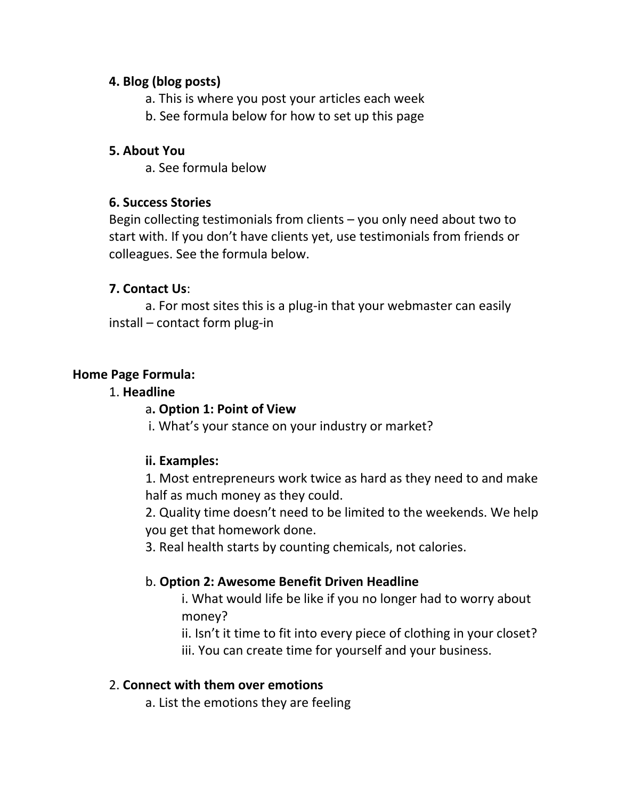### **4. Blog (blog posts)**

a. This is where you post your articles each week

b. See formula below for how to set up this page

## **5. About You**

a. See formula below

## **6. Success Stories**

Begin collecting testimonials from clients – you only need about two to start with. If you don't have clients yet, use testimonials from friends or colleagues. See the formula below.

## **7. Contact Us**:

a. For most sites this is a plug-in that your webmaster can easily install – contact form plug-in

## **Home Page Formula:**

### 1. **Headline**

## a**. Option 1: Point of View**

i. What's your stance on your industry or market?

## **ii. Examples:**

1. Most entrepreneurs work twice as hard as they need to and make half as much money as they could.

2. Quality time doesn't need to be limited to the weekends. We help you get that homework done.

3. Real health starts by counting chemicals, not calories.

## b. **Option 2: Awesome Benefit Driven Headline**

i. What would life be like if you no longer had to worry about money?

ii. Isn't it time to fit into every piece of clothing in your closet? iii. You can create time for yourself and your business.

## 2. **Connect with them over emotions**

a. List the emotions they are feeling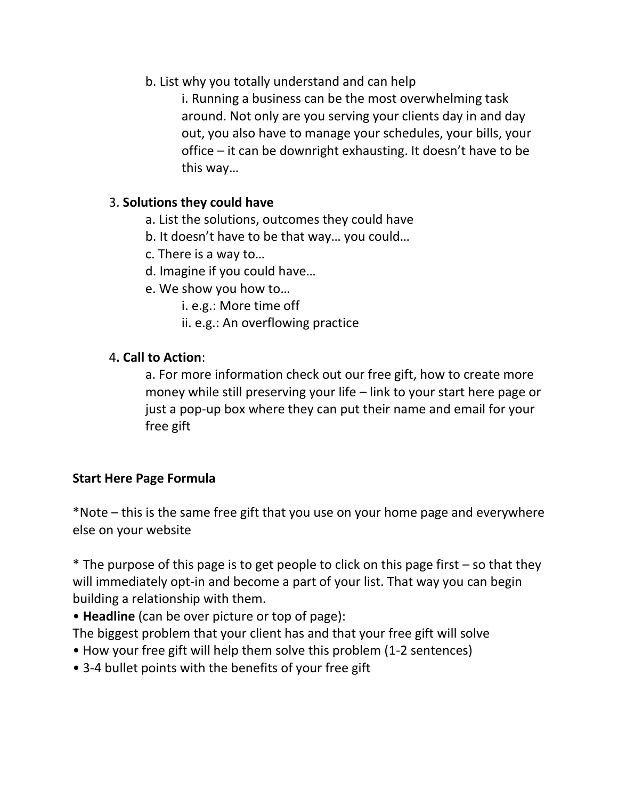b. List why you totally understand and can help

i. Running a business can be the most overwhelming task around. Not only are you serving your clients day in and day out, you also have to manage your schedules, your bills, your office – it can be downright exhausting. It doesn't have to be this way…

## 3. **Solutions they could have**

- a. List the solutions, outcomes they could have
- b. It doesn't have to be that way… you could…
- c. There is a way to…
- d. Imagine if you could have…
- e. We show you how to…
	- i. e.g.: More time off
	- ii. e.g.: An overflowing practice

## 4**. Call to Action**:

a. For more information check out our free gift, how to create more money while still preserving your life – link to your start here page or just a pop-up box where they can put their name and email for your free gift

## **Start Here Page Formula**

\*Note – this is the same free gift that you use on your home page and everywhere else on your website

 $*$  The purpose of this page is to get people to click on this page first – so that they will immediately opt-in and become a part of your list. That way you can begin building a relationship with them.

• **Headline** (can be over picture or top of page):

The biggest problem that your client has and that your free gift will solve

- How your free gift will help them solve this problem (1-2 sentences)
- 3-4 bullet points with the benefits of your free gift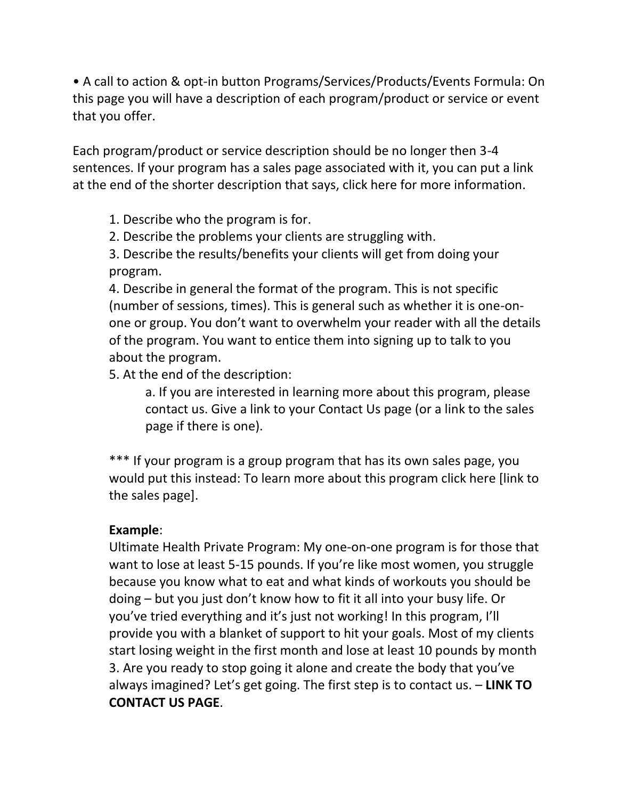• A call to action & opt-in button Programs/Services/Products/Events Formula: On this page you will have a description of each program/product or service or event that you offer.

Each program/product or service description should be no longer then 3-4 sentences. If your program has a sales page associated with it, you can put a link at the end of the shorter description that says, click here for more information.

1. Describe who the program is for.

2. Describe the problems your clients are struggling with.

3. Describe the results/benefits your clients will get from doing your program.

4. Describe in general the format of the program. This is not specific (number of sessions, times). This is general such as whether it is one-onone or group. You don't want to overwhelm your reader with all the details of the program. You want to entice them into signing up to talk to you about the program.

5. At the end of the description:

a. If you are interested in learning more about this program, please contact us. Give a link to your Contact Us page (or a link to the sales page if there is one).

\*\*\* If your program is a group program that has its own sales page, you would put this instead: To learn more about this program click here [link to the sales page].

### **Example**:

Ultimate Health Private Program: My one-on-one program is for those that want to lose at least 5-15 pounds. If you're like most women, you struggle because you know what to eat and what kinds of workouts you should be doing – but you just don't know how to fit it all into your busy life. Or you've tried everything and it's just not working! In this program, I'll provide you with a blanket of support to hit your goals. Most of my clients start losing weight in the first month and lose at least 10 pounds by month 3. Are you ready to stop going it alone and create the body that you've always imagined? Let's get going. The first step is to contact us. – **LINK TO CONTACT US PAGE**.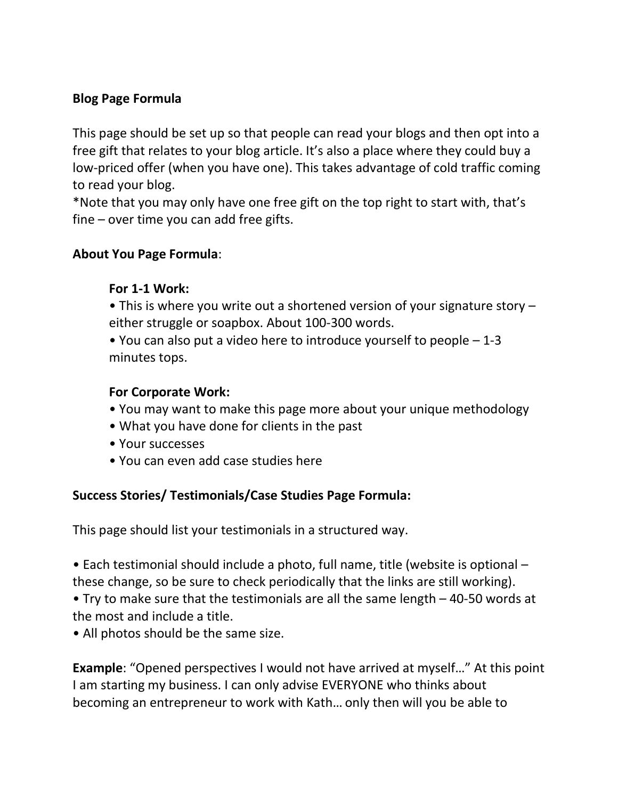## **Blog Page Formula**

This page should be set up so that people can read your blogs and then opt into a free gift that relates to your blog article. It's also a place where they could buy a low-priced offer (when you have one). This takes advantage of cold traffic coming to read your blog.

\*Note that you may only have one free gift on the top right to start with, that's fine – over time you can add free gifts.

### **About You Page Formula**:

### **For 1-1 Work:**

- This is where you write out a shortened version of your signature story either struggle or soapbox. About 100-300 words.
- You can also put a video here to introduce yourself to people 1-3 minutes tops.

### **For Corporate Work:**

- You may want to make this page more about your unique methodology
- What you have done for clients in the past
- Your successes
- You can even add case studies here

### **Success Stories/ Testimonials/Case Studies Page Formula:**

This page should list your testimonials in a structured way.

• Each testimonial should include a photo, full name, title (website is optional – these change, so be sure to check periodically that the links are still working). • Try to make sure that the testimonials are all the same length – 40-50 words at the most and include a title.

• All photos should be the same size.

**Example**: "Opened perspectives I would not have arrived at myself…" At this point I am starting my business. I can only advise EVERYONE who thinks about becoming an entrepreneur to work with Kath… only then will you be able to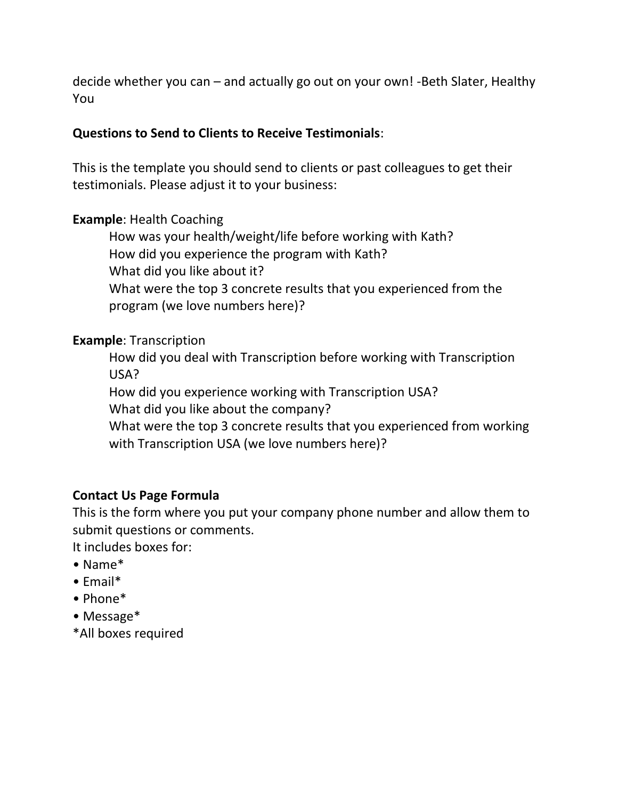decide whether you can – and actually go out on your own! -Beth Slater, Healthy You

#### **Questions to Send to Clients to Receive Testimonials**:

This is the template you should send to clients or past colleagues to get their testimonials. Please adjust it to your business:

#### **Example**: Health Coaching

How was your health/weight/life before working with Kath? How did you experience the program with Kath? What did you like about it? What were the top 3 concrete results that you experienced from the program (we love numbers here)?

#### **Example**: Transcription

How did you deal with Transcription before working with Transcription USA?

How did you experience working with Transcription USA?

What did you like about the company?

What were the top 3 concrete results that you experienced from working with Transcription USA (we love numbers here)?

### **Contact Us Page Formula**

This is the form where you put your company phone number and allow them to submit questions or comments.

It includes boxes for:

- Name\*
- Email\*
- Phone\*
- Message\*
- \*All boxes required